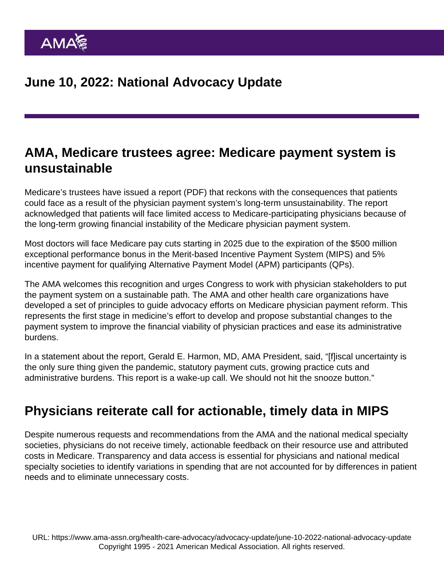#### AMA, Medicare trustees agree: Medicare payment system is unsustainable

Medicare's trustees have issued a [report](https://www.cms.gov/files/document/2022-medicare-trustees-report.pdf) (PDF) that reckons with the consequences that patients could face as a result of the physician payment system's long-term unsustainability. The report acknowledged that patients will face limited access to Medicare-participating physicians because of the long-term growing financial instability of the Medicare physician payment system.

Most doctors will face Medicare pay cuts starting in 2025 due to the expiration of the \$500 million exceptional performance bonus in the Merit-based Incentive Payment System (MIPS) and 5% incentive payment for qualifying Alternative Payment Model (APM) participants (QPs).

The AMA welcomes this recognition and urges Congress to work with physician stakeholders to put the payment system on a sustainable path. The AMA and other health care organizations have developed [a set of principles](https://www.ama-assn.org/practice-management/medicare-medicaid/current-medicare-payment-system-unsustainable-path) to guide advocacy efforts on Medicare physician payment reform. This represents the first stage in medicine's effort to develop and propose substantial changes to the payment system to improve the financial viability of physician practices and ease its administrative burdens.

In a [statement](https://www.ama-assn.org/press-center/press-releases/ama-medicare-trustees-agree-medicare-payment-system-unsustainable) about the report, Gerald E. Harmon, MD, AMA President, said, "[f]iscal uncertainty is the only sure thing given the pandemic, statutory payment cuts, growing practice cuts and administrative burdens. This report is a wake-up call. We should not hit the snooze button."

#### Physicians reiterate call for actionable, timely data in MIPS

Despite numerous requests and recommendations from the AMA and the national medical specialty societies, physicians do not receive timely, actionable feedback on their resource use and attributed costs in Medicare. Transparency and data access is essential for physicians and national medical specialty societies to identify variations in spending that are not accounted for by differences in patient needs and to eliminate unnecessary costs.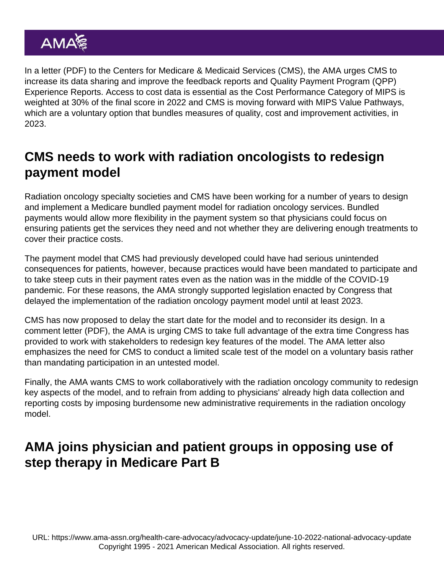In a [letter](https://searchlf.ama-assn.org/letter/documentDownload?uri=/unstructured/binary/letter/LETTERS/lf.zip/2022-6-8-Letter-to-Brooks-LaSure-on-MIPS-Data-Sharing-and-Transparency-v2.pdf) (PDF) to the Centers for Medicare & Medicaid Services (CMS), the AMA urges CMS to increase its data sharing and improve the feedback reports and Quality Payment Program (QPP) Experience Reports. Access to cost data is essential as the Cost Performance Category of MIPS is weighted at 30% of the final score in 2022 and CMS is moving forward with MIPS Value Pathways, which are a voluntary option that bundles measures of quality, cost and improvement activities, in 2023.

# CMS needs to work with radiation oncologists to redesign payment model

Radiation oncology specialty societies and CMS have been working for a number of years to design and implement a Medicare bundled payment model for radiation oncology services. Bundled payments would allow more flexibility in the payment system so that physicians could focus on ensuring patients get the services they need and not whether they are delivering enough treatments to cover their practice costs.

The payment model that CMS had previously developed could have had serious unintended consequences for patients, however, because practices would have been mandated to participate and to take steep cuts in their payment rates even as the nation was in the middle of the COVID-19 pandemic. For these reasons, the AMA strongly supported legislation enacted by Congress that delayed the implementation of the radiation oncology payment model until at least 2023.

CMS has now proposed to delay the start date for the model and to reconsider its design. In a [comment letter](https://searchlf.ama-assn.org/letter/documentDownload?uri=/unstructured/binary/letter/LETTERS/letter-finder.zip/2022-6-7-Letter-to-Brooks-Lasure-re-RO-Model.pdf) (PDF), the AMA is urging CMS to take full advantage of the extra time Congress has provided to work with stakeholders to redesign key features of the model. The AMA letter also emphasizes the need for CMS to conduct a limited scale test of the model on a voluntary basis rather than mandating participation in an untested model.

Finally, the AMA wants CMS to work collaboratively with the radiation oncology community to redesign key aspects of the model, and to refrain from adding to physicians' already high data collection and reporting costs by imposing burdensome new administrative requirements in the radiation oncology model.

## AMA joins physician and patient groups in opposing use of step therapy in Medicare Part B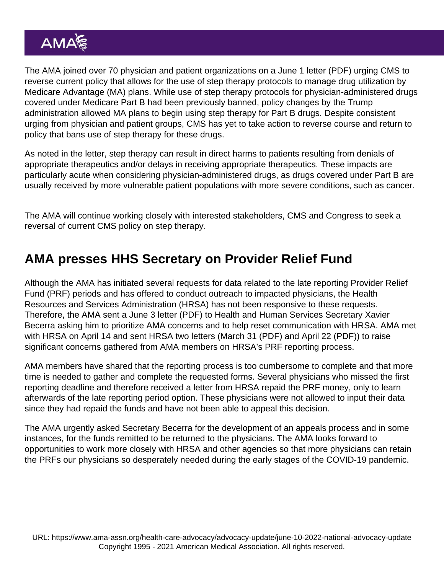The AMA joined over 70 physician and patient organizations on a June 1 [letter](https://searchlf.ama-assn.org/letter/documentDownload?uri=/unstructured/binary/letter/LETTERS/letter-finder.zip/2022-6-1-Sign-On-Step-Therapy-Coalition-Letter.pdf) (PDF) urging CMS to reverse current policy that allows for the use of step therapy protocols to manage drug utilization by Medicare Advantage (MA) plans. While use of step therapy protocols for physician-administered drugs covered under Medicare Part B had been previously banned, policy changes by the Trump administration allowed MA plans to begin using step therapy for Part B drugs. Despite consistent urging from physician and patient groups, CMS has yet to take action to reverse course and return to policy that bans use of step therapy for these drugs.

As noted in the letter, step therapy can result in direct harms to patients resulting from denials of appropriate therapeutics and/or delays in receiving appropriate therapeutics. These impacts are particularly acute when considering physician-administered drugs, as drugs covered under Part B are usually received by more vulnerable patient populations with more severe conditions, such as cancer.

The AMA will continue working closely with interested stakeholders, CMS and Congress to seek a reversal of current CMS policy on step therapy.

# AMA presses HHS Secretary on Provider Relief Fund

Although the AMA has initiated several requests for data related to the late reporting Provider Relief Fund (PRF) periods and has offered to conduct outreach to impacted physicians, the Health Resources and Services Administration (HRSA) has not been responsive to these requests. Therefore, the AMA sent a June 3 [letter](https://searchlf.ama-assn.org/letter/documentDownload?uri=/unstructured/binary/letter/LETTERS/letter-finder.zip/2022-6-3-Letter-to-Becerra-re-Provider-Relief-Fund-v2.pdf) (PDF) to Health and Human Services Secretary Xavier Becerra asking him to prioritize AMA concerns and to help reset communication with HRSA. AMA met with HRSA on April 14 and sent HRSA two letters [\(March 31](https://searchlf.ama-assn.org/letter/documentDownload?uri=/unstructured/binary/letter/LETTERS/2022-03-31-Letter-to-HRSA-Johnson-re-Provider-Relief-Funding-Period-1-reopening-FINAL.pdf) (PDF) and [April 22](https://searchlf.ama-assn.org/letter/documentDownload?uri=/unstructured/binary/letter/LETTERS/2022-4-22-Letter-to-Johnson-re-HRSA-Provider-Relief-v3.zip/2022-4-22-Letter-to-Johnson-re-HRSA-Provider-Relief-v3.pdf) (PDF)) to raise significant concerns gathered from AMA members on HRSA's PRF reporting process.

AMA members have shared that the reporting process is too cumbersome to complete and that more time is needed to gather and complete the requested forms. Several physicians who missed the first reporting deadline and therefore received a letter from HRSA repaid the PRF money, only to learn afterwards of the late reporting period option. These physicians were not allowed to input their data since they had repaid the funds and have not been able to appeal this decision.

The AMA urgently asked Secretary Becerra for the development of an appeals process and in some instances, for the funds remitted to be returned to the physicians. The AMA looks forward to opportunities to work more closely with HRSA and other agencies so that more physicians can retain the PRFs our physicians so desperately needed during the early stages of the COVID-19 pandemic.